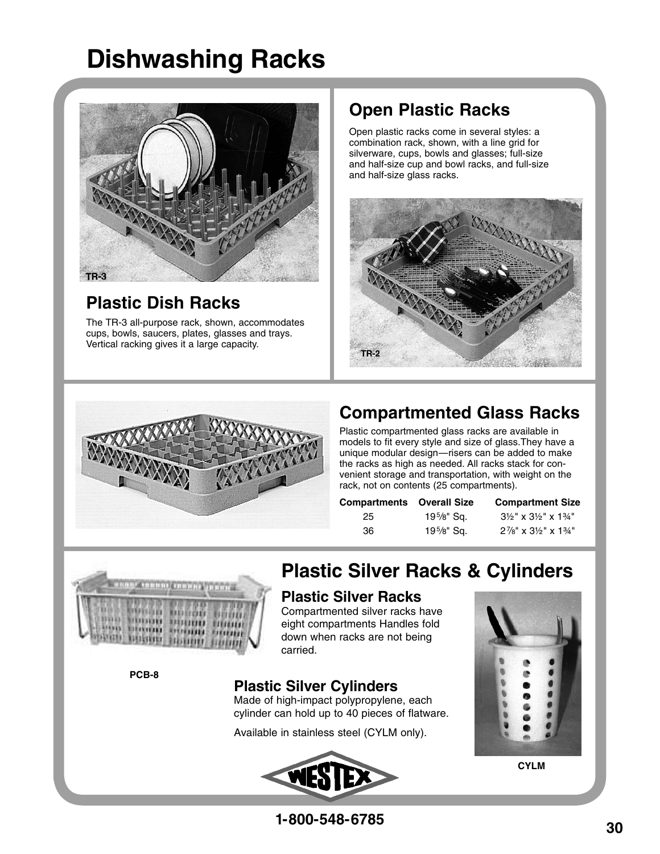# **Dishwashing Racks**



## **Plastic Dish Racks**

The TR-3 all-purpose rack, shown, accommodates cups, bowls, saucers, plates, glasses and trays. Vertical racking gives it a large capacity.

## **Open Plastic Racks**

Open plastic racks come in several styles: a combination rack, shown, with a line grid for silverware, cups, bowls and glasses; full-size and half-size cup and bowl racks, and full-size and half-size glass racks.





## **Compartmented Glass Racks**

Plastic compartmented glass racks are available in models to fit every style and size of glass.They have a unique modular design—risers can be added to make the racks as high as needed. All racks stack for convenient storage and transportation, with weight on the rack, not on contents (25 compartments).

| <b>Compartments</b> Overall Size |              | <b>Compartment Size</b>                                |
|----------------------------------|--------------|--------------------------------------------------------|
| 25                               | 195/8" Sq.   | $3\frac{1}{2}$ " x $3\frac{1}{2}$ " x $1\frac{3}{4}$ " |
| 36.                              | $19\%$ " Sq. | $2\frac{7}{8}$ " x $3\frac{1}{2}$ " x $1\frac{3}{4}$ " |



# **Plastic Silver Racks & Cylinders**

### **Plastic Silver Racks**

Compartmented silver racks have eight compartments Handles fold down when racks are not being carried.

**PCB-8**

#### **Plastic Silver Cylinders**

Made of high-impact polypropylene, each cylinder can hold up to 40 pieces of flatware.

Available in stainless steel (CYLM only).





**CYLM**

**1-800-548-6785**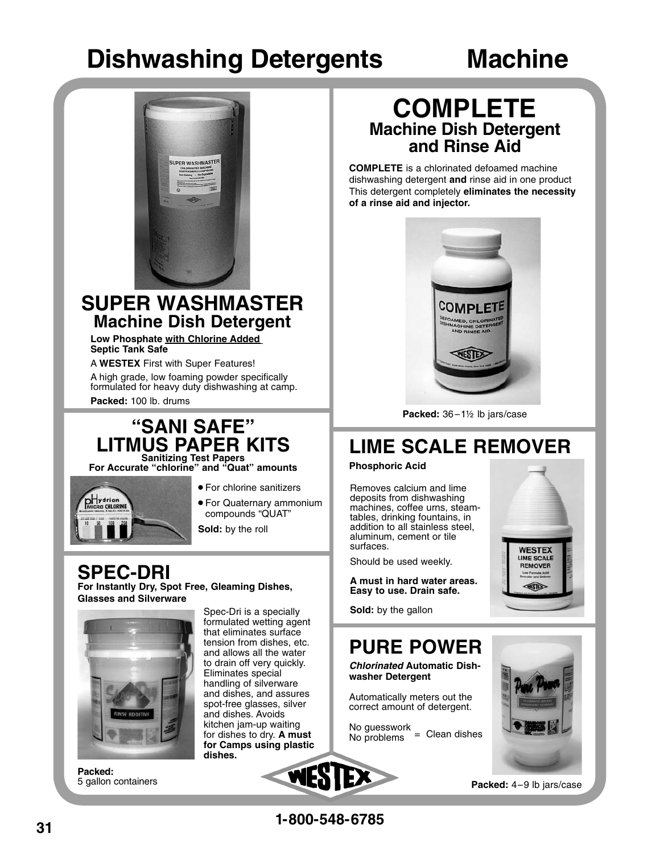# **Dishwashing Detergents Machine**



#### **SUPER WASHMASTER Machine Dish Detergent**

**Low Phosphate with Chlorine Added Septic Tank Safe**

A **WESTEX** First with Super Features!

A high grade, low foaming powder specifically formulated for heavy duty dishwashing at camp. **Packed:** 100 lb. drums

#### **"SANI SAFE" LITMUS PAPER KITS Sanitizing Test Papers**

**For Accurate "chlorine" and "Quat" amounts**



- **•** For chlorine sanitizers
- For Quaternary ammonium compounds "QUAT"

**Sold:** by the roll

#### **SPEC-DRI For Instantly Dry, Spot Free, Gleaming Dishes,**

**Glasses and Silverware**



**Packed:** 5 gallon containers

Spec-Dri is a specially formulated wetting agent that eliminates surface tension from dishes, etc. and allows all the water to drain off very quickly. Eliminates special handling of silverware and dishes, and assures spot-free glasses, silver and dishes. Avoids kitchen jam-up waiting for dishes to dry. **A must for Camps using plastic dishes.**



## **COMPLETE Machine Dish Detergent and Rinse Aid**

**COMPLETE** is a chlorinated defoamed machine dishwashing detergent **and** rinse aid in one product This detergent completely **eliminates the necessity of a rinse aid and injector.**



Packed: 36-1<sup>1/2</sup> lb jars/case

# **LIME SCALE REMOVER**

#### **Phosphoric Acid**

Removes calcium and lime deposits from dishwashing machines, coffee urns, steamtables, drinking fountains, in addition to all stainless steel, aluminum, cement or tile surfaces.

Should be used weekly.

**A must in hard water areas. Easy to use. Drain safe.**

**Sold:** by the gallon



# **PURE POWER**

**Chlorinated Automatic Dishwasher Detergent**

Automatically meters out the correct amount of detergent.

No guesswork  $No$  problems  $=$  Clean dishes



**Packed:** 4–9 lb jars/case

**1-800-548-6785**